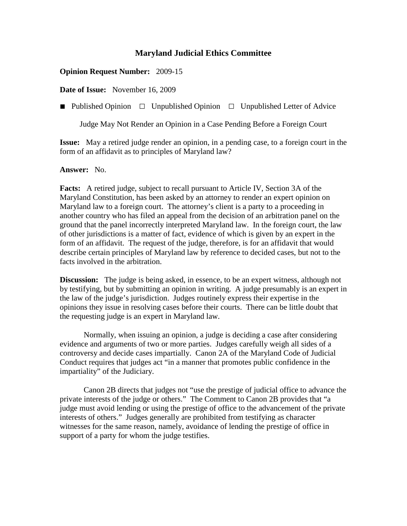## **Maryland Judicial Ethics Committee**

### **Opinion Request Number:** 2009-15

**Date of Issue:** November 16, 2009

**■** Published Opinion □Unpublished Opinion □Unpublished Letter of Advice

Judge May Not Render an Opinion in a Case Pending Before a Foreign Court

**Issue:** May a retired judge render an opinion, in a pending case, to a foreign court in the form of an affidavit as to principles of Maryland law?

#### **Answer:** No.

**Facts:** A retired judge, subject to recall pursuant to Article IV, Section 3A of the Maryland Constitution, has been asked by an attorney to render an expert opinion on Maryland law to a foreign court. The attorney's client is a party to a proceeding in another country who has filed an appeal from the decision of an arbitration panel on the ground that the panel incorrectly interpreted Maryland law. In the foreign court, the law of other jurisdictions is a matter of fact, evidence of which is given by an expert in the form of an affidavit. The request of the judge, therefore, is for an affidavit that would describe certain principles of Maryland law by reference to decided cases, but not to the facts involved in the arbitration.

**Discussion:** The judge is being asked, in essence, to be an expert witness, although not by testifying, but by submitting an opinion in writing. A judge presumably is an expert in the law of the judge's jurisdiction. Judges routinely express their expertise in the opinions they issue in resolving cases before their courts. There can be little doubt that the requesting judge is an expert in Maryland law.

Normally, when issuing an opinion, a judge is deciding a case after considering evidence and arguments of two or more parties. Judges carefully weigh all sides of a controversy and decide cases impartially. Canon 2A of the Maryland Code of Judicial Conduct requires that judges act "in a manner that promotes public confidence in the impartiality" of the Judiciary.

Canon 2B directs that judges not "use the prestige of judicial office to advance the private interests of the judge or others." The Comment to Canon 2B provides that "a judge must avoid lending or using the prestige of office to the advancement of the private interests of others." Judges generally are prohibited from testifying as character witnesses for the same reason, namely, avoidance of lending the prestige of office in support of a party for whom the judge testifies.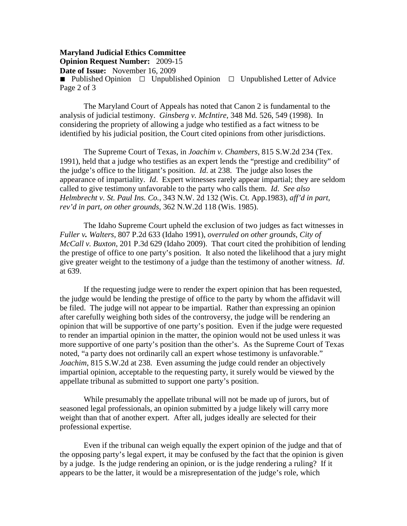#### **Maryland Judicial Ethics Committee Opinion Request Number:** 2009-15

**Date of Issue:** November 16, 2009

**■** Published Opinion □Unpublished Opinion □Unpublished Letter of Advice Page 2 of 3

The Maryland Court of Appeals has noted that Canon 2 is fundamental to the analysis of judicial testimony. *Ginsberg v. McIntire*, 348 Md. 526, 549 (1998). In considering the propriety of allowing a judge who testified as a fact witness to be identified by his judicial position, the Court cited opinions from other jurisdictions.

The Supreme Court of Texas, in *Joachim v. Chambers*, 815 S.W.2d 234 (Tex. 1991), held that a judge who testifies as an expert lends the "prestige and credibility" of the judge's office to the litigant's position. *Id*. at 238. The judge also loses the appearance of impartiality. *Id*. Expert witnesses rarely appear impartial; they are seldom called to give testimony unfavorable to the party who calls them. *Id*. *See also Helmbrecht v. St. Paul Ins. Co.*, 343 N.W. 2d 132 (Wis. Ct. App.1983), *aff'd in part, rev'd in part, on other grounds*, 362 N.W.2d 118 (Wis. 1985).

The Idaho Supreme Court upheld the exclusion of two judges as fact witnesses in *Fuller v. Walters*, 807 P.2d 633 (Idaho 1991), *overruled on other grounds*, *City of McCall v. Buxton*, 201 P.3d 629 (Idaho 2009). That court cited the prohibition of lending the prestige of office to one party's position. It also noted the likelihood that a jury might give greater weight to the testimony of a judge than the testimony of another witness. *Id*. at 639.

If the requesting judge were to render the expert opinion that has been requested, the judge would be lending the prestige of office to the party by whom the affidavit will be filed. The judge will not appear to be impartial. Rather than expressing an opinion after carefully weighing both sides of the controversy, the judge will be rendering an opinion that will be supportive of one party's position. Even if the judge were requested to render an impartial opinion in the matter, the opinion would not be used unless it was more supportive of one party's position than the other's. As the Supreme Court of Texas noted, "a party does not ordinarily call an expert whose testimony is unfavorable." *Joachim*, 815 S.W.2d at 238. Even assuming the judge could render an objectively impartial opinion, acceptable to the requesting party, it surely would be viewed by the appellate tribunal as submitted to support one party's position.

While presumably the appellate tribunal will not be made up of jurors, but of seasoned legal professionals, an opinion submitted by a judge likely will carry more weight than that of another expert. After all, judges ideally are selected for their professional expertise.

Even if the tribunal can weigh equally the expert opinion of the judge and that of the opposing party's legal expert, it may be confused by the fact that the opinion is given by a judge. Is the judge rendering an opinion, or is the judge rendering a ruling? If it appears to be the latter, it would be a misrepresentation of the judge's role, which